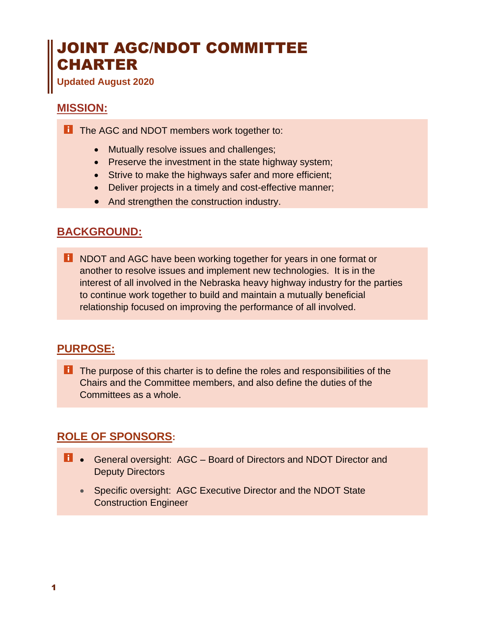# JOINT AGC/NDOT COMMITTEE CHARTER

**Updated August 2020**

### **MISSION:**

**T** The AGC and NDOT members work together to:

- Mutually resolve issues and challenges;
- Preserve the investment in the state highway system;
- Strive to make the highways safer and more efficient;
- Deliver projects in a timely and cost-effective manner;
- And strengthen the construction industry.

## **BACKGROUND:**

**T** NDOT and AGC have been working together for years in one format or another to resolve issues and implement new technologies. It is in the interest of all involved in the Nebraska heavy highway industry for the parties to continue work together to build and maintain a mutually beneficial relationship focused on improving the performance of all involved.

#### **PURPOSE:**

**T** The purpose of this charter is to define the roles and responsibilities of the Chairs and the Committee members, and also define the duties of the Committees as a whole.

# **ROLE OF SPONSORS:**

- **1** General oversight: AGC Board of Directors and NDOT Director and Deputy Directors
	- Specific oversight: AGC Executive Director and the NDOT State Construction Engineer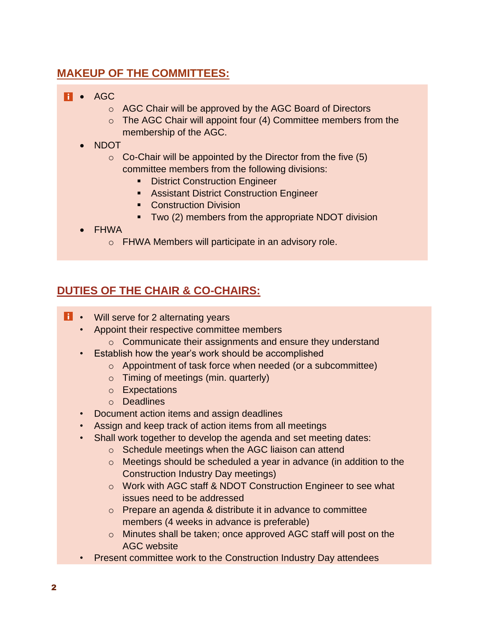# **MAKEUP OF THE COMMITTEES:**

#### **Fi** • AGC

- o AGC Chair will be approved by the AGC Board of Directors
- o The AGC Chair will appoint four (4) Committee members from the membership of the AGC.
- NDOT
	- $\circ$  Co-Chair will be appointed by the Director from the five (5) committee members from the following divisions:
		- **EXEC** District Construction Engineer
		- **EXEC** Assistant District Construction Engineer
		- Construction Division
		- Two (2) members from the appropriate NDOT division
- FHWA
	- o FHWA Members will participate in an advisory role.

# **DUTIES OF THE CHAIR & CO-CHAIRS:**

- **1** Will serve for 2 alternating years
	- Appoint their respective committee members
		- o Communicate their assignments and ensure they understand
	- Establish how the year's work should be accomplished
		- o Appointment of task force when needed (or a subcommittee)
		- o Timing of meetings (min. quarterly)
		- o Expectations
		- o Deadlines
	- Document action items and assign deadlines
	- Assign and keep track of action items from all meetings
	- Shall work together to develop the agenda and set meeting dates:
		- o Schedule meetings when the AGC liaison can attend
		- o Meetings should be scheduled a year in advance (in addition to the Construction Industry Day meetings)
		- o Work with AGC staff & NDOT Construction Engineer to see what issues need to be addressed
		- o Prepare an agenda & distribute it in advance to committee members (4 weeks in advance is preferable)
		- o Minutes shall be taken; once approved AGC staff will post on the AGC website
	- Present committee work to the Construction Industry Day attendees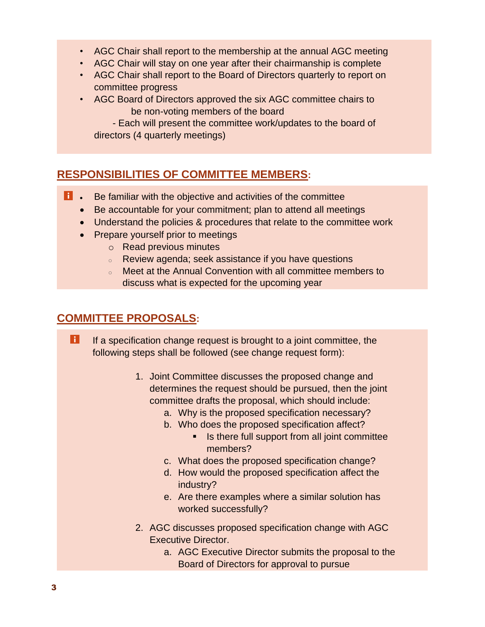- AGC Chair shall report to the membership at the annual AGC meeting
- AGC Chair will stay on one year after their chairmanship is complete
- AGC Chair shall report to the Board of Directors quarterly to report on committee progress
- AGC Board of Directors approved the six AGC committee chairs to be non-voting members of the board

 - Each will present the committee work/updates to the board of directors (4 quarterly meetings)

## **RESPONSIBILITIES OF COMMITTEE MEMBERS:**

- **i** Be familiar with the objective and activities of the committee
	- Be accountable for your commitment; plan to attend all meetings
	- Understand the policies & procedures that relate to the committee work
	- Prepare yourself prior to meetings
		- o Read previous minutes
		- <sup>o</sup> Review agenda; seek assistance if you have questions
		- o Meet at the Annual Convention with all committee members to discuss what is expected for the upcoming year

## **COMMITTEE PROPOSALS:**

H If a specification change request is brought to a joint committee, the following steps shall be followed (see change request form):

- 1. Joint Committee discusses the proposed change and determines the request should be pursued, then the joint committee drafts the proposal, which should include:
	- a. Why is the proposed specification necessary?
	- b. Who does the proposed specification affect?
		- Is there full support from all joint committee members?
	- c. What does the proposed specification change?
	- d. How would the proposed specification affect the industry?
	- e. Are there examples where a similar solution has worked successfully?
- 2. AGC discusses proposed specification change with AGC Executive Director.
	- a. AGC Executive Director submits the proposal to the Board of Directors for approval to pursue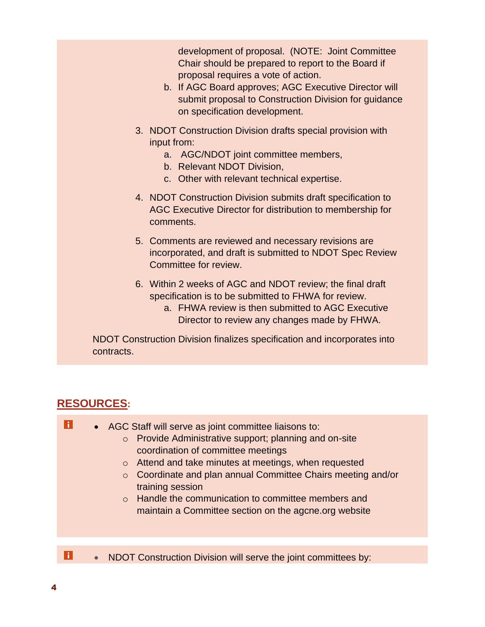development of proposal. (NOTE: Joint Committee Chair should be prepared to report to the Board if proposal requires a vote of action.

- b. If AGC Board approves; AGC Executive Director will submit proposal to Construction Division for guidance on specification development.
- 3. NDOT Construction Division drafts special provision with input from:
	- a. AGC/NDOT joint committee members,
	- b. Relevant NDOT Division,
	- c. Other with relevant technical expertise.
- 4. NDOT Construction Division submits draft specification to AGC Executive Director for distribution to membership for comments.
- 5. Comments are reviewed and necessary revisions are incorporated, and draft is submitted to NDOT Spec Review Committee for review.
- 6. Within 2 weeks of AGC and NDOT review; the final draft specification is to be submitted to FHWA for review.
	- a. FHWA review is then submitted to AGC Executive Director to review any changes made by FHWA.

NDOT Construction Division finalizes specification and incorporates into contracts.

## **RESOURCES:**

| H.    | • AGC Staff will serve as joint committee liaisons to:<br>Provide Administrative support; planning and on-site<br>$\circ$<br>coordination of committee meetings<br>o Attend and take minutes at meetings, when requested<br>○ Coordinate and plan annual Committee Chairs meeting and/or<br>training session<br>Handle the communication to committee members and<br>$\circ$<br>maintain a Committee section on the agone org website |
|-------|---------------------------------------------------------------------------------------------------------------------------------------------------------------------------------------------------------------------------------------------------------------------------------------------------------------------------------------------------------------------------------------------------------------------------------------|
|       |                                                                                                                                                                                                                                                                                                                                                                                                                                       |
| l i l | NDOT Construction Division will serve the joint committees by:                                                                                                                                                                                                                                                                                                                                                                        |